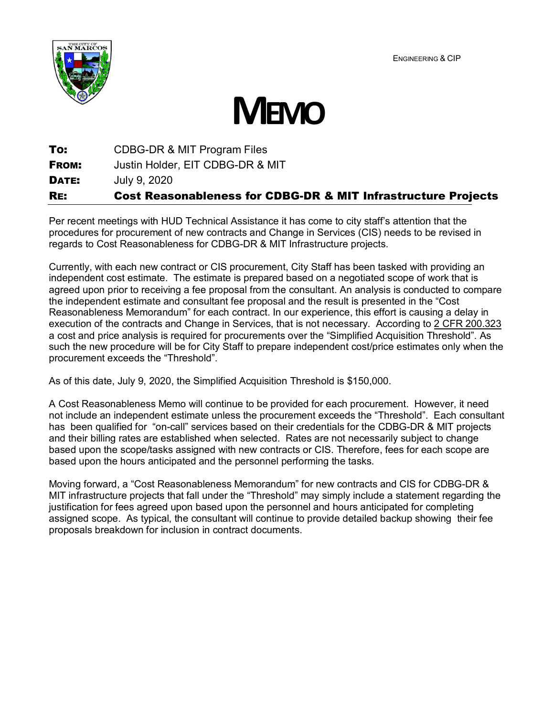ENGINEERING & CIP





**To:** CDBG-DR & MIT Program Files **FROM:** Justin Holder, EIT CDBG-DR & MIT **DATE: July 9, 2020** RE: Cost Reasonableness for CDBG-DR & MIT Infrastructure Projects

Per recent meetings with HUD Technical Assistance it has come to city staff's attention that the procedures for procurement of new contracts and Change in Services (CIS) needs to be revised in regards to Cost Reasonableness for CDBG-DR & MIT Infrastructure projects.

Currently, with each new contract or CIS procurement, City Staff has been tasked with providing an independent cost estimate. The estimate is prepared based on a negotiated scope of work that is agreed upon prior to receiving a fee proposal from the consultant. An analysis is conducted to compare the independent estimate and consultant fee proposal and the result is presented in the "Cost Reasonableness Memorandum" for each contract. In our experience, this effort is causing a delay in execution of the contracts and Change in Services, that is not necessary. According to 2 CFR 200.323 a cost and price analysis is required for procurements over the "Simplified Acquisition Threshold". As such the new procedure will be for City Staff to prepare independent cost/price estimates only when the procurement exceeds the "Threshold".

As of this date, July 9, 2020, the Simplified Acquisition Threshold is \$150,000.

A Cost Reasonableness Memo will continue to be provided for each procurement. However, it need not include an independent estimate unless the procurement exceeds the "Threshold". Each consultant has been qualified for "on-call" services based on their credentials for the CDBG-DR & MIT projects and their billing rates are established when selected. Rates are not necessarily subject to change based upon the scope/tasks assigned with new contracts or CIS. Therefore, fees for each scope are based upon the hours anticipated and the personnel performing the tasks.

Moving forward, a "Cost Reasonableness Memorandum" for new contracts and CIS for CDBG-DR & MIT infrastructure projects that fall under the "Threshold" may simply include a statement regarding the justification for fees agreed upon based upon the personnel and hours anticipated for completing assigned scope. As typical, the consultant will continue to provide detailed backup showing their fee proposals breakdown for inclusion in contract documents.